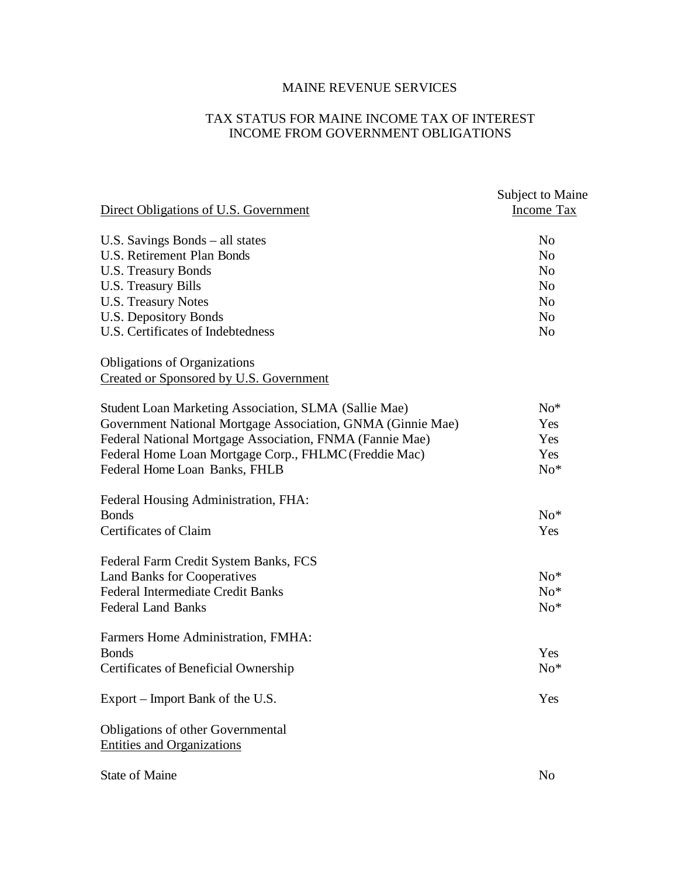## MAINE REVENUE SERVICES

## TAX STATUS FOR MAINE INCOME TAX OF INTEREST INCOME FROM GOVERNMENT OBLIGATIONS

| Direct Obligations of U.S. Government                                         | Subject to Maine<br>Income Tax |
|-------------------------------------------------------------------------------|--------------------------------|
| U.S. Savings Bonds - all states                                               | N <sub>o</sub>                 |
| <b>U.S. Retirement Plan Bonds</b>                                             | N <sub>0</sub>                 |
| <b>U.S. Treasury Bonds</b>                                                    | N <sub>o</sub>                 |
| U.S. Treasury Bills                                                           | N <sub>0</sub>                 |
| <b>U.S. Treasury Notes</b>                                                    | N <sub>0</sub>                 |
| <b>U.S. Depository Bonds</b>                                                  | N <sub>o</sub>                 |
| U.S. Certificates of Indebtedness                                             | N <sub>0</sub>                 |
| <b>Obligations of Organizations</b>                                           |                                |
| Created or Sponsored by U.S. Government                                       |                                |
| Student Loan Marketing Association, SLMA (Sallie Mae)                         | $No*$                          |
| Government National Mortgage Association, GNMA (Ginnie Mae)                   | Yes                            |
| Federal National Mortgage Association, FNMA (Fannie Mae)                      | Yes                            |
| Federal Home Loan Mortgage Corp., FHLMC (Freddie Mac)                         | Yes                            |
| Federal Home Loan Banks, FHLB                                                 | $No*$                          |
| Federal Housing Administration, FHA:                                          |                                |
| <b>Bonds</b>                                                                  | $No*$                          |
| Certificates of Claim                                                         | Yes                            |
| Federal Farm Credit System Banks, FCS                                         |                                |
| <b>Land Banks for Cooperatives</b>                                            | $No*$                          |
| <b>Federal Intermediate Credit Banks</b>                                      | $No*$                          |
| <b>Federal Land Banks</b>                                                     | $No*$                          |
| Farmers Home Administration, FMHA:                                            |                                |
| <b>Bonds</b>                                                                  | Yes                            |
| Certificates of Beneficial Ownership                                          | $No*$                          |
| Export – Import Bank of the U.S.                                              | Yes                            |
| <b>Obligations of other Governmental</b><br><b>Entities and Organizations</b> |                                |
| <b>State of Maine</b>                                                         | N <sub>0</sub>                 |